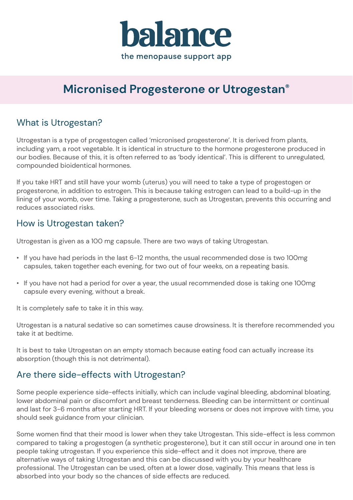

# **Micronised Progesterone or Utrogestan®**

# What is Utrogestan?

Utrogestan is a type of progestogen called 'micronised progesterone'. It is derived from plants, including yam, a root vegetable. It is identical in structure to the hormone progesterone produced in our bodies. Because of this, it is often referred to as 'body identical'. This is different to unregulated, compounded bioidentical hormones.

If you take HRT and still have your womb (uterus) you will need to take a type of progestogen or progesterone, in addition to estrogen. This is because taking estrogen can lead to a build-up in the lining of your womb, over time. Taking a progesterone, such as Utrogestan, prevents this occurring and reduces associated risks.

### How is Utrogestan taken?

Utrogestan is given as a 100 mg capsule. There are two ways of taking Utrogestan.

- If you have had periods in the last 6-12 months, the usual recommended dose is two 100mg capsules, taken together each evening, for two out of four weeks, on a repeating basis.
- If you have not had a period for over a year, the usual recommended dose is taking one 100mg capsule every evening, without a break.

It is completely safe to take it in this way.

Utrogestan is a natural sedative so can sometimes cause drowsiness. It is therefore recommended you take it at bedtime.

It is best to take Utrogestan on an empty stomach because eating food can actually increase its absorption (though this is not detrimental).

### Are there side-effects with Utrogestan?

Some people experience side-effects initially, which can include vaginal bleeding, abdominal bloating, lower abdominal pain or discomfort and breast tenderness. Bleeding can be intermittent or continual and last for 3-6 months after starting HRT. If your bleeding worsens or does not improve with time, you should seek guidance from your clinician.

Some women find that their mood is lower when they take Utrogestan. This side-effect is less common compared to taking a progestogen (a synthetic progesterone), but it can still occur in around one in ten people taking utrogestan. If you experience this side-effect and it does not improve, there are alternative ways of taking Utrogestan and this can be discussed with you by your healthcare professional. The Utrogestan can be used, often at a lower dose, vaginally. This means that less is absorbed into your body so the chances of side effects are reduced.